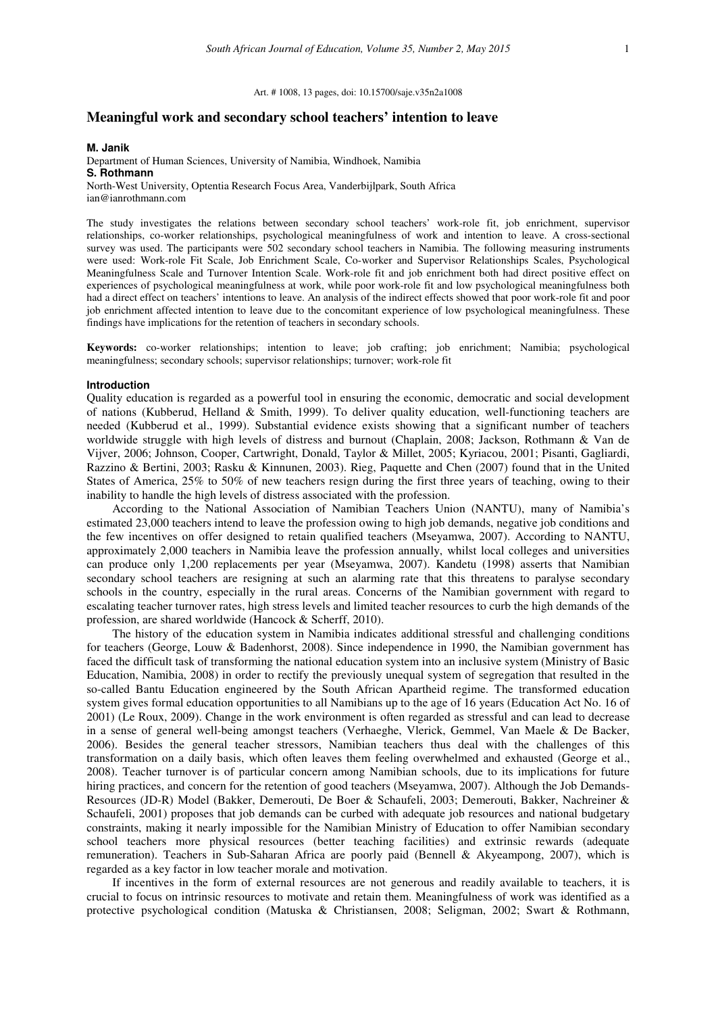Art. # 1008, 13 pages, doi: 10.15700/saje.v35n2a1008

# **Meaningful work and secondary school teachers' intention to leave**

#### **M. Janik**

Department of Human Sciences, University of Namibia, Windhoek, Namibia **S. Rothmann** 

North-West University, Optentia Research Focus Area, Vanderbijlpark, South Africa ian@ianrothmann.com

The study investigates the relations between secondary school teachers' work-role fit, job enrichment, supervisor relationships, co-worker relationships, psychological meaningfulness of work and intention to leave. A cross-sectional survey was used. The participants were 502 secondary school teachers in Namibia. The following measuring instruments were used: Work-role Fit Scale, Job Enrichment Scale, Co-worker and Supervisor Relationships Scales, Psychological Meaningfulness Scale and Turnover Intention Scale. Work-role fit and job enrichment both had direct positive effect on experiences of psychological meaningfulness at work, while poor work-role fit and low psychological meaningfulness both had a direct effect on teachers' intentions to leave. An analysis of the indirect effects showed that poor work-role fit and poor job enrichment affected intention to leave due to the concomitant experience of low psychological meaningfulness. These findings have implications for the retention of teachers in secondary schools.

**Keywords:** co-worker relationships; intention to leave; job crafting; job enrichment; Namibia; psychological meaningfulness; secondary schools; supervisor relationships; turnover; work-role fit

### **Introduction**

Quality education is regarded as a powerful tool in ensuring the economic, democratic and social development of nations (Kubberud, Helland & Smith, 1999). To deliver quality education, well-functioning teachers are needed (Kubberud et al., 1999). Substantial evidence exists showing that a significant number of teachers worldwide struggle with high levels of distress and burnout (Chaplain, 2008; Jackson, Rothmann & Van de Vijver, 2006; Johnson, Cooper, Cartwright, Donald, Taylor & Millet, 2005; Kyriacou, 2001; Pisanti, Gagliardi, Razzino & Bertini, 2003; Rasku & Kinnunen, 2003). Rieg, Paquette and Chen (2007) found that in the United States of America, 25% to 50% of new teachers resign during the first three years of teaching, owing to their inability to handle the high levels of distress associated with the profession.

According to the National Association of Namibian Teachers Union (NANTU), many of Namibia's estimated 23,000 teachers intend to leave the profession owing to high job demands, negative job conditions and the few incentives on offer designed to retain qualified teachers (Mseyamwa, 2007). According to NANTU, approximately 2,000 teachers in Namibia leave the profession annually, whilst local colleges and universities can produce only 1,200 replacements per year (Mseyamwa, 2007). Kandetu (1998) asserts that Namibian secondary school teachers are resigning at such an alarming rate that this threatens to paralyse secondary schools in the country, especially in the rural areas. Concerns of the Namibian government with regard to escalating teacher turnover rates, high stress levels and limited teacher resources to curb the high demands of the profession, are shared worldwide (Hancock & Scherff, 2010).

The history of the education system in Namibia indicates additional stressful and challenging conditions for teachers (George, Louw & Badenhorst, 2008). Since independence in 1990, the Namibian government has faced the difficult task of transforming the national education system into an inclusive system (Ministry of Basic Education, Namibia, 2008) in order to rectify the previously unequal system of segregation that resulted in the so-called Bantu Education engineered by the South African Apartheid regime. The transformed education system gives formal education opportunities to all Namibians up to the age of 16 years (Education Act No. 16 of 2001) (Le Roux, 2009). Change in the work environment is often regarded as stressful and can lead to decrease in a sense of general well-being amongst teachers (Verhaeghe, Vlerick, Gemmel, Van Maele & De Backer, 2006). Besides the general teacher stressors, Namibian teachers thus deal with the challenges of this transformation on a daily basis, which often leaves them feeling overwhelmed and exhausted (George et al., 2008). Teacher turnover is of particular concern among Namibian schools, due to its implications for future hiring practices, and concern for the retention of good teachers (Mseyamwa, 2007). Although the Job Demands-Resources (JD-R) Model (Bakker, Demerouti, De Boer & Schaufeli, 2003; Demerouti, Bakker, Nachreiner & Schaufeli, 2001) proposes that job demands can be curbed with adequate job resources and national budgetary constraints, making it nearly impossible for the Namibian Ministry of Education to offer Namibian secondary school teachers more physical resources (better teaching facilities) and extrinsic rewards (adequate remuneration). Teachers in Sub-Saharan Africa are poorly paid (Bennell & Akyeampong, 2007), which is regarded as a key factor in low teacher morale and motivation.

If incentives in the form of external resources are not generous and readily available to teachers, it is crucial to focus on intrinsic resources to motivate and retain them. Meaningfulness of work was identified as a protective psychological condition (Matuska & Christiansen, 2008; Seligman, 2002; Swart & Rothmann,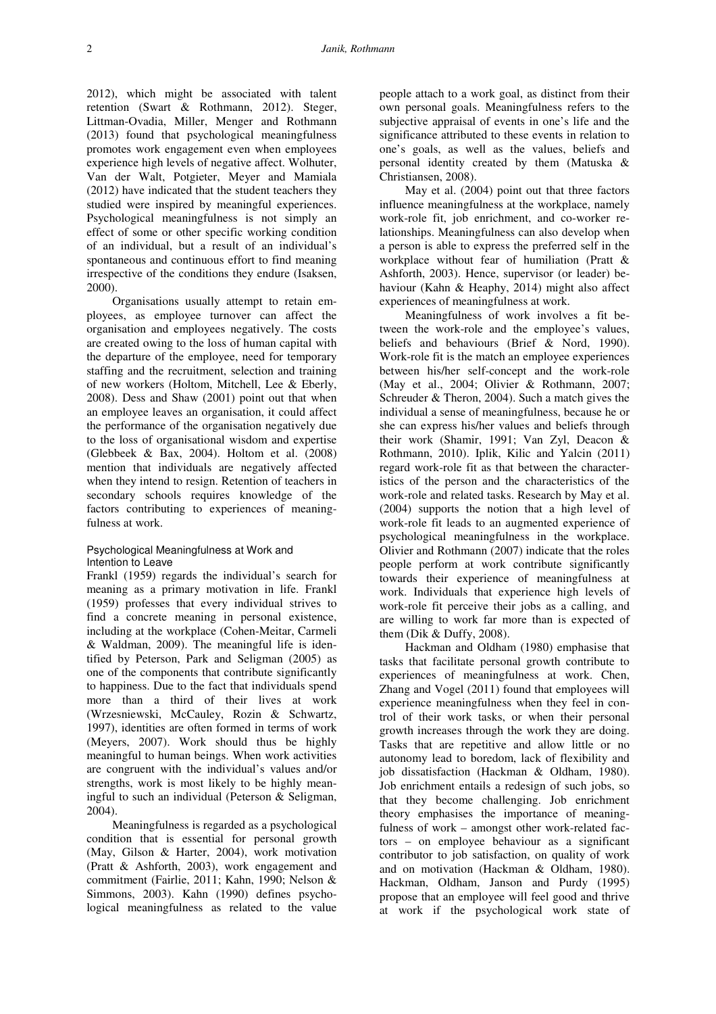2012), which might be associated with talent retention (Swart & Rothmann, 2012). Steger, Littman-Ovadia, Miller, Menger and Rothmann (2013) found that psychological meaningfulness promotes work engagement even when employees experience high levels of negative affect. Wolhuter, Van der Walt, Potgieter, Meyer and Mamiala (2012) have indicated that the student teachers they studied were inspired by meaningful experiences. Psychological meaningfulness is not simply an effect of some or other specific working condition of an individual, but a result of an individual's spontaneous and continuous effort to find meaning irrespective of the conditions they endure (Isaksen, 2000).

Organisations usually attempt to retain employees, as employee turnover can affect the organisation and employees negatively. The costs are created owing to the loss of human capital with the departure of the employee, need for temporary staffing and the recruitment, selection and training of new workers (Holtom, Mitchell, Lee & Eberly, 2008). Dess and Shaw (2001) point out that when an employee leaves an organisation, it could affect the performance of the organisation negatively due to the loss of organisational wisdom and expertise (Glebbeek & Bax, 2004). Holtom et al. (2008) mention that individuals are negatively affected when they intend to resign. Retention of teachers in secondary schools requires knowledge of the factors contributing to experiences of meaningfulness at work.

## Psychological Meaningfulness at Work and Intention to Leave

Frankl (1959) regards the individual's search for meaning as a primary motivation in life. Frankl (1959) professes that every individual strives to find a concrete meaning in personal existence, including at the workplace (Cohen-Meitar, Carmeli & Waldman, 2009). The meaningful life is identified by Peterson, Park and Seligman (2005) as one of the components that contribute significantly to happiness. Due to the fact that individuals spend more than a third of their lives at work (Wrzesniewski, McCauley, Rozin & Schwartz, 1997), identities are often formed in terms of work (Meyers, 2007). Work should thus be highly meaningful to human beings. When work activities are congruent with the individual's values and/or strengths, work is most likely to be highly meaningful to such an individual (Peterson & Seligman, 2004).

Meaningfulness is regarded as a psychological condition that is essential for personal growth (May, Gilson & Harter, 2004), work motivation (Pratt & Ashforth, 2003), work engagement and commitment (Fairlie, 2011; Kahn, 1990; Nelson & Simmons, 2003). Kahn (1990) defines psychological meaningfulness as related to the value

people attach to a work goal, as distinct from their own personal goals. Meaningfulness refers to the subjective appraisal of events in one's life and the significance attributed to these events in relation to one's goals, as well as the values, beliefs and personal identity created by them (Matuska & Christiansen, 2008).

May et al. (2004) point out that three factors influence meaningfulness at the workplace, namely work-role fit, job enrichment, and co-worker relationships. Meaningfulness can also develop when a person is able to express the preferred self in the workplace without fear of humiliation (Pratt & Ashforth, 2003). Hence, supervisor (or leader) behaviour (Kahn & Heaphy, 2014) might also affect experiences of meaningfulness at work.

Meaningfulness of work involves a fit between the work-role and the employee's values, beliefs and behaviours (Brief & Nord, 1990). Work-role fit is the match an employee experiences between his/her self-concept and the work-role (May et al., 2004; Olivier & Rothmann, 2007; Schreuder & Theron, 2004). Such a match gives the individual a sense of meaningfulness, because he or she can express his/her values and beliefs through their work (Shamir, 1991; Van Zyl, Deacon & Rothmann, 2010). Iplik, Kilic and Yalcin (2011) regard work-role fit as that between the characteristics of the person and the characteristics of the work-role and related tasks. Research by May et al. (2004) supports the notion that a high level of work-role fit leads to an augmented experience of psychological meaningfulness in the workplace. Olivier and Rothmann (2007) indicate that the roles people perform at work contribute significantly towards their experience of meaningfulness at work. Individuals that experience high levels of work-role fit perceive their jobs as a calling, and are willing to work far more than is expected of them (Dik & Duffy, 2008).

Hackman and Oldham (1980) emphasise that tasks that facilitate personal growth contribute to experiences of meaningfulness at work. Chen, Zhang and Vogel (2011) found that employees will experience meaningfulness when they feel in control of their work tasks, or when their personal growth increases through the work they are doing. Tasks that are repetitive and allow little or no autonomy lead to boredom, lack of flexibility and job dissatisfaction (Hackman & Oldham, 1980). Job enrichment entails a redesign of such jobs, so that they become challenging. Job enrichment theory emphasises the importance of meaningfulness of work – amongst other work-related factors – on employee behaviour as a significant contributor to job satisfaction, on quality of work and on motivation (Hackman & Oldham, 1980). Hackman, Oldham, Janson and Purdy (1995) propose that an employee will feel good and thrive at work if the psychological work state of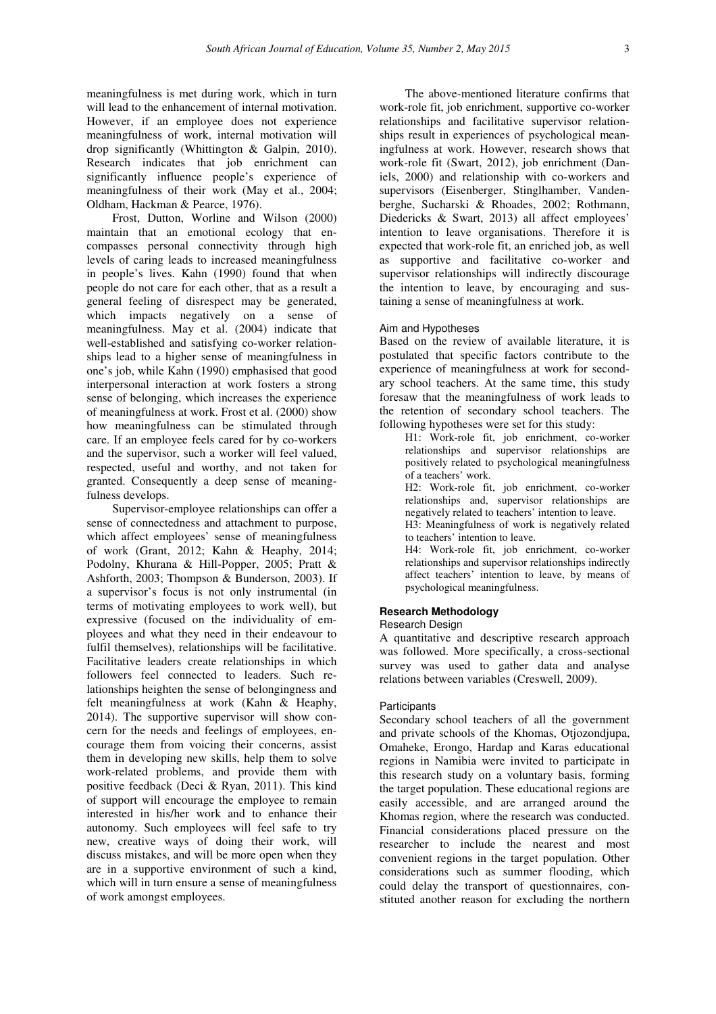meaningfulness is met during work, which in turn will lead to the enhancement of internal motivation. However, if an employee does not experience meaningfulness of work, internal motivation will drop significantly (Whittington & Galpin, 2010). Research indicates that job enrichment can significantly influence people's experience of meaningfulness of their work (May et al., 2004; Oldham, Hackman & Pearce, 1976).

Frost, Dutton, Worline and Wilson (2000) maintain that an emotional ecology that encompasses personal connectivity through high levels of caring leads to increased meaningfulness in people's lives. Kahn (1990) found that when people do not care for each other, that as a result a general feeling of disrespect may be generated, which impacts negatively on a sense of meaningfulness. May et al. (2004) indicate that well-established and satisfying co-worker relationships lead to a higher sense of meaningfulness in one's job, while Kahn (1990) emphasised that good interpersonal interaction at work fosters a strong sense of belonging, which increases the experience of meaningfulness at work. Frost et al. (2000) show how meaningfulness can be stimulated through care. If an employee feels cared for by co-workers and the supervisor, such a worker will feel valued, respected, useful and worthy, and not taken for granted. Consequently a deep sense of meaningfulness develops.

Supervisor-employee relationships can offer a sense of connectedness and attachment to purpose, which affect employees' sense of meaningfulness of work (Grant, 2012; Kahn & Heaphy, 2014; Podolny, Khurana & Hill-Popper, 2005; Pratt & Ashforth, 2003; Thompson & Bunderson, 2003). If a supervisor's focus is not only instrumental (in terms of motivating employees to work well), but expressive (focused on the individuality of employees and what they need in their endeavour to fulfil themselves), relationships will be facilitative. Facilitative leaders create relationships in which followers feel connected to leaders. Such relationships heighten the sense of belongingness and felt meaningfulness at work (Kahn & Heaphy, 2014). The supportive supervisor will show concern for the needs and feelings of employees, encourage them from voicing their concerns, assist them in developing new skills, help them to solve work-related problems, and provide them with positive feedback (Deci & Ryan, 2011). This kind of support will encourage the employee to remain interested in his/her work and to enhance their autonomy. Such employees will feel safe to try new, creative ways of doing their work, will discuss mistakes, and will be more open when they are in a supportive environment of such a kind, which will in turn ensure a sense of meaningfulness of work amongst employees.

The above-mentioned literature confirms that work-role fit, job enrichment, supportive co-worker relationships and facilitative supervisor relationships result in experiences of psychological meaningfulness at work. However, research shows that work-role fit (Swart, 2012), job enrichment (Daniels, 2000) and relationship with co-workers and supervisors (Eisenberger, Stinglhamber, Vandenberghe, Sucharski & Rhoades, 2002; Rothmann, Diedericks & Swart, 2013) all affect employees' intention to leave organisations. Therefore it is expected that work-role fit, an enriched job, as well as supportive and facilitative co-worker and supervisor relationships will indirectly discourage the intention to leave, by encouraging and sustaining a sense of meaningfulness at work.

### Aim and Hypotheses

Based on the review of available literature, it is postulated that specific factors contribute to the experience of meaningfulness at work for secondary school teachers. At the same time, this study foresaw that the meaningfulness of work leads to the retention of secondary school teachers. The following hypotheses were set for this study:

H1: Work-role fit, job enrichment, co-worker relationships and supervisor relationships are positively related to psychological meaningfulness of a teachers' work.

H2: Work-role fit, job enrichment, co-worker relationships and, supervisor relationships are negatively related to teachers' intention to leave.

H3: Meaningfulness of work is negatively related to teachers' intention to leave.

H4: Work-role fit, job enrichment, co-worker relationships and supervisor relationships indirectly affect teachers' intention to leave, by means of psychological meaningfulness.

# **Research Methodology**

### Research Design

A quantitative and descriptive research approach was followed. More specifically, a cross-sectional survey was used to gather data and analyse relations between variables (Creswell, 2009).

#### **Participants**

Secondary school teachers of all the government and private schools of the Khomas, Otjozondjupa, Omaheke, Erongo, Hardap and Karas educational regions in Namibia were invited to participate in this research study on a voluntary basis, forming the target population. These educational regions are easily accessible, and are arranged around the Khomas region, where the research was conducted. Financial considerations placed pressure on the researcher to include the nearest and most convenient regions in the target population. Other considerations such as summer flooding, which could delay the transport of questionnaires, constituted another reason for excluding the northern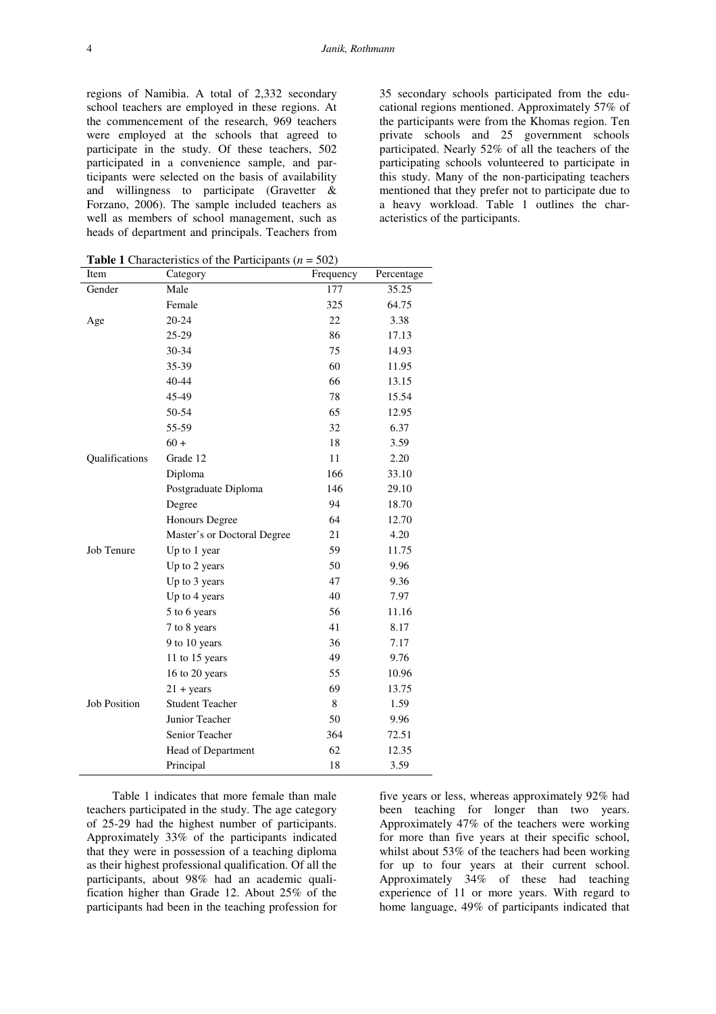35 secondary schools participated from the educational regions mentioned. Approximately 57% of the participants were from the Khomas region. Ten private schools and 25 government schools participated. Nearly 52% of all the teachers of the participating schools volunteered to participate in this study. Many of the non-participating teachers mentioned that they prefer not to participate due to a heavy workload. Table 1 outlines the characteristics of the participants.

**Table 1** Characteristics of the Participants (*n* = 502)

| Item                | $m$ and $m$ and $m$ are $m$ and $m$<br>Category | -,<br>Frequency | Percentage |
|---------------------|-------------------------------------------------|-----------------|------------|
| Gender              | Male                                            | 177             | 35.25      |
|                     | Female                                          | 325             | 64.75      |
| Age                 | $20 - 24$                                       | 22              | 3.38       |
|                     | 25-29                                           | 86              | 17.13      |
|                     | 30-34                                           | 75              | 14.93      |
|                     | 35-39                                           | 60              | 11.95      |
|                     | 40-44                                           | 66              | 13.15      |
|                     | 45-49                                           | 78              | 15.54      |
|                     | 50-54                                           | 65              | 12.95      |
|                     | 55-59                                           | 32              | 6.37       |
|                     | $60 +$                                          | 18              | 3.59       |
| Qualifications      | Grade 12                                        | 11              | 2.20       |
|                     | Diploma                                         | 166             | 33.10      |
|                     | Postgraduate Diploma                            | 146             | 29.10      |
|                     | Degree                                          | 94              | 18.70      |
|                     | Honours Degree                                  | 64              | 12.70      |
|                     | Master's or Doctoral Degree                     | 21              | 4.20       |
| Job Tenure          | Up to 1 year                                    | 59              | 11.75      |
|                     | Up to 2 years                                   | 50              | 9.96       |
|                     | Up to 3 years                                   | 47              | 9.36       |
|                     | Up to 4 years                                   | 40              | 7.97       |
|                     | 5 to 6 years                                    | 56              | 11.16      |
|                     | 7 to 8 years                                    | 41              | 8.17       |
|                     | 9 to 10 years                                   | 36              | 7.17       |
|                     | 11 to 15 years                                  | 49              | 9.76       |
|                     | 16 to 20 years                                  | 55              | 10.96      |
|                     | $21 + years$                                    | 69              | 13.75      |
| <b>Job Position</b> | <b>Student Teacher</b>                          | 8               | 1.59       |
|                     | Junior Teacher                                  | 50              | 9.96       |
|                     | Senior Teacher                                  | 364             | 72.51      |
|                     | Head of Department                              | 62              | 12.35      |
|                     | Principal                                       | 18              | 3.59       |

Table 1 indicates that more female than male teachers participated in the study. The age category of 25-29 had the highest number of participants. Approximately 33% of the participants indicated that they were in possession of a teaching diploma as their highest professional qualification. Of all the participants, about 98% had an academic qualification higher than Grade 12. About 25% of the participants had been in the teaching profession for

five years or less, whereas approximately 92% had been teaching for longer than two years. Approximately 47% of the teachers were working for more than five years at their specific school, whilst about 53% of the teachers had been working for up to four years at their current school. Approximately 34% of these had teaching experience of 11 or more years. With regard to home language, 49% of participants indicated that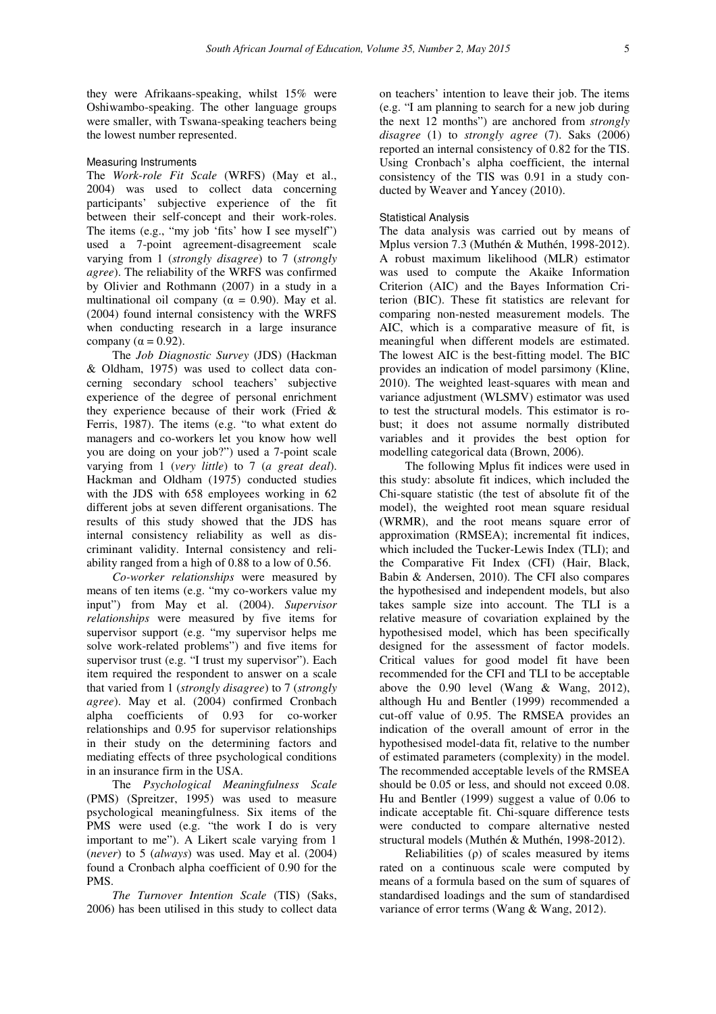they were Afrikaans-speaking, whilst 15% were Oshiwambo-speaking. The other language groups were smaller, with Tswana-speaking teachers being the lowest number represented.

### Measuring Instruments

The *Work-role Fit Scale* (WRFS) (May et al., 2004) was used to collect data concerning participants' subjective experience of the fit between their self-concept and their work-roles. The items (e.g., "my job 'fits' how I see myself") used a 7-point agreement-disagreement scale varying from 1 (*strongly disagree*) to 7 (*strongly agree*). The reliability of the WRFS was confirmed by Olivier and Rothmann (2007) in a study in a multinational oil company ( $\alpha = 0.90$ ). May et al. (2004) found internal consistency with the WRFS when conducting research in a large insurance company ( $\alpha$  = 0.92).

The *Job Diagnostic Survey* (JDS) (Hackman & Oldham, 1975) was used to collect data concerning secondary school teachers' subjective experience of the degree of personal enrichment they experience because of their work (Fried & Ferris, 1987). The items (e.g. "to what extent do managers and co-workers let you know how well you are doing on your job?") used a 7-point scale varying from 1 (*very little*) to 7 (*a great deal*). Hackman and Oldham (1975) conducted studies with the JDS with 658 employees working in 62 different jobs at seven different organisations. The results of this study showed that the JDS has internal consistency reliability as well as discriminant validity. Internal consistency and reliability ranged from a high of 0.88 to a low of 0.56.

*Co-worker relationships* were measured by means of ten items (e.g. "my co-workers value my input") from May et al. (2004). *Supervisor relationships* were measured by five items for supervisor support (e.g. "my supervisor helps me solve work-related problems") and five items for supervisor trust (e.g. "I trust my supervisor"). Each item required the respondent to answer on a scale that varied from 1 (*strongly disagree*) to 7 (*strongly agree*). May et al. (2004) confirmed Cronbach alpha coefficients of 0.93 for co-worker relationships and 0.95 for supervisor relationships in their study on the determining factors and mediating effects of three psychological conditions in an insurance firm in the USA.

The *Psychological Meaningfulness Scale* (PMS) (Spreitzer, 1995) was used to measure psychological meaningfulness. Six items of the PMS were used (e.g. "the work I do is very important to me"). A Likert scale varying from 1 (*never*) to 5 (*always*) was used. May et al. (2004) found a Cronbach alpha coefficient of 0.90 for the PMS.

*The Turnover Intention Scale* (TIS) (Saks, 2006) has been utilised in this study to collect data on teachers' intention to leave their job. The items (e.g. "I am planning to search for a new job during the next 12 months") are anchored from *strongly disagree* (1) to *strongly agree* (7). Saks (2006) reported an internal consistency of 0.82 for the TIS. Using Cronbach's alpha coefficient, the internal consistency of the TIS was 0.91 in a study conducted by Weaver and Yancey (2010).

# Statistical Analysis

The data analysis was carried out by means of Mplus version 7.3 (Muthén & Muthén, 1998-2012). A robust maximum likelihood (MLR) estimator was used to compute the Akaike Information Criterion (AIC) and the Bayes Information Criterion (BIC). These fit statistics are relevant for comparing non-nested measurement models. The AIC, which is a comparative measure of fit, is meaningful when different models are estimated. The lowest AIC is the best-fitting model. The BIC provides an indication of model parsimony (Kline, 2010). The weighted least-squares with mean and variance adjustment (WLSMV) estimator was used to test the structural models. This estimator is robust; it does not assume normally distributed variables and it provides the best option for modelling categorical data (Brown, 2006).

The following Mplus fit indices were used in this study: absolute fit indices, which included the Chi-square statistic (the test of absolute fit of the model), the weighted root mean square residual (WRMR), and the root means square error of approximation (RMSEA); incremental fit indices, which included the Tucker-Lewis Index (TLI); and the Comparative Fit Index (CFI) (Hair, Black, Babin & Andersen, 2010). The CFI also compares the hypothesised and independent models, but also takes sample size into account. The TLI is a relative measure of covariation explained by the hypothesised model, which has been specifically designed for the assessment of factor models. Critical values for good model fit have been recommended for the CFI and TLI to be acceptable above the 0.90 level (Wang & Wang, 2012), although Hu and Bentler (1999) recommended a cut-off value of 0.95. The RMSEA provides an indication of the overall amount of error in the hypothesised model-data fit, relative to the number of estimated parameters (complexity) in the model. The recommended acceptable levels of the RMSEA should be 0.05 or less, and should not exceed 0.08. Hu and Bentler (1999) suggest a value of 0.06 to indicate acceptable fit. Chi-square difference tests were conducted to compare alternative nested structural models (Muthén & Muthén, 1998-2012).

Reliabilities (ρ) of scales measured by items rated on a continuous scale were computed by means of a formula based on the sum of squares of standardised loadings and the sum of standardised variance of error terms (Wang & Wang, 2012).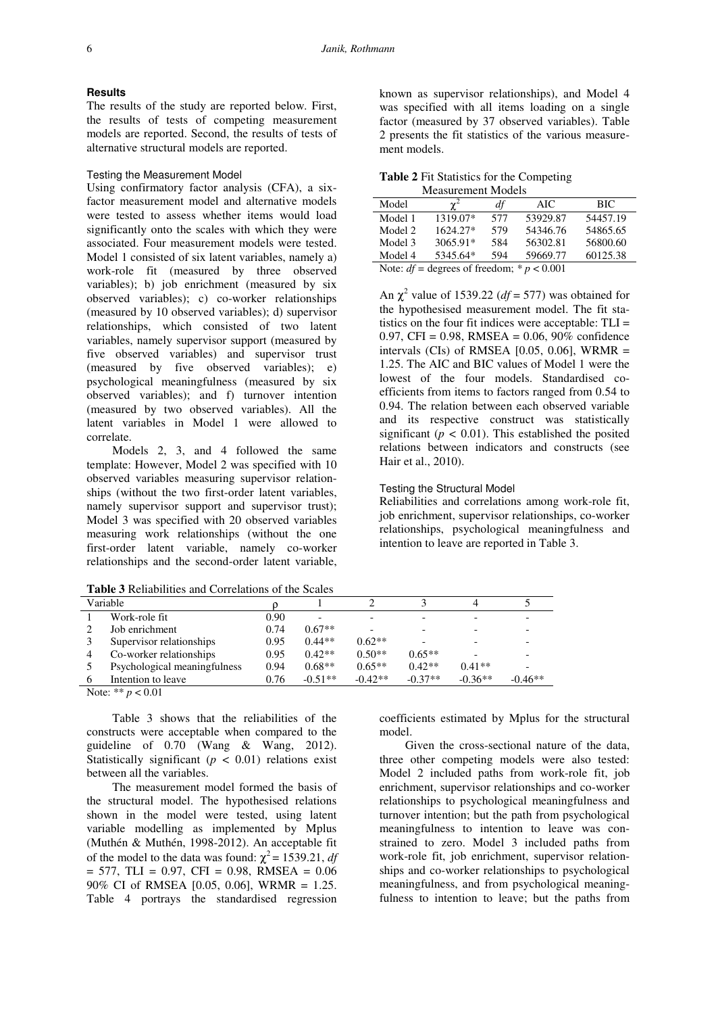# **Results**

The results of the study are reported below. First, the results of tests of competing measurement models are reported. Second, the results of tests of alternative structural models are reported.

## Testing the Measurement Model

Using confirmatory factor analysis (CFA), a sixfactor measurement model and alternative models were tested to assess whether items would load significantly onto the scales with which they were associated. Four measurement models were tested. Model 1 consisted of six latent variables, namely a) work-role fit (measured by three observed variables); b) job enrichment (measured by six observed variables); c) co-worker relationships (measured by 10 observed variables); d) supervisor relationships, which consisted of two latent variables, namely supervisor support (measured by five observed variables) and supervisor trust (measured by five observed variables); e) psychological meaningfulness (measured by six observed variables); and f) turnover intention (measured by two observed variables). All the latent variables in Model 1 were allowed to correlate.

Models 2, 3, and 4 followed the same template: However, Model 2 was specified with 10 observed variables measuring supervisor relationships (without the two first-order latent variables, namely supervisor support and supervisor trust); Model 3 was specified with 20 observed variables measuring work relationships (without the one first-order latent variable, namely co-worker relationships and the second-order latent variable,

**Table 3** Reliabilities and Correlations of the Scales

known as supervisor relationships), and Model 4 was specified with all items loading on a single factor (measured by 37 observed variables). Table 2 presents the fit statistics of the various measurement models.

**Table 2** Fit Statistics for the Competing Measurement Models

| Model                                          |            | df  | AIC.     | BIC      |  |  |
|------------------------------------------------|------------|-----|----------|----------|--|--|
| Model 1                                        | 1319.07*   | 577 | 53929.87 | 54457.19 |  |  |
| Model 2                                        | 1624.27*   | 579 | 54346.76 | 54865.65 |  |  |
| Model 3                                        | $3065.91*$ | 584 | 56302.81 | 56800.60 |  |  |
| Model 4                                        | 5345.64*   | 594 | 59669.77 | 60125.38 |  |  |
| Note: $df =$ degrees of freedom; * $p < 0.001$ |            |     |          |          |  |  |

An  $\chi^2$  value of 1539.22 ( $df = 577$ ) was obtained for the hypothesised measurement model. The fit statistics on the four fit indices were acceptable:  $TLI =$ 0.97, CFI = 0.98, RMSEA = 0.06, 90% confidence intervals (CIs) of RMSEA  $[0.05, 0.06]$ , WRMR = 1.25. The AIC and BIC values of Model 1 were the lowest of the four models. Standardised coefficients from items to factors ranged from 0.54 to 0.94. The relation between each observed variable and its respective construct was statistically significant  $(p < 0.01)$ . This established the posited relations between indicators and constructs (see Hair et al., 2010).

## Testing the Structural Model

Reliabilities and correlations among work-role fit, job enrichment, supervisor relationships, co-worker relationships, psychological meaningfulness and intention to leave are reported in Table 3.

|          | Variable                     |      |           |           |           |           |           |
|----------|------------------------------|------|-----------|-----------|-----------|-----------|-----------|
|          | Work-role fit                | 0.90 |           | -         |           |           |           |
|          | Job enrichment               | 0.74 | $0.67**$  |           |           |           |           |
|          | Supervisor relationships     | 0.95 | $0.44**$  | $0.62**$  |           |           |           |
|          | Co-worker relationships      | 0.95 | $0.42**$  | $0.50**$  | $0.65**$  |           |           |
|          | Psychological meaningfulness | 0.94 | $0.68**$  | $0.65**$  | $0.42**$  | $0.41**$  |           |
| $\sigma$ | Intention to leave           | 0.76 | $-0.51**$ | $-0.42**$ | $-0.37**$ | $-0.36**$ | $-0.46**$ |
|          |                              |      |           |           |           |           |           |

Note: \*\* *p* < 0.01

Table 3 shows that the reliabilities of the constructs were acceptable when compared to the guideline of 0.70 (Wang & Wang, 2012). Statistically significant  $(p < 0.01)$  relations exist between all the variables.

The measurement model formed the basis of the structural model. The hypothesised relations shown in the model were tested, using latent variable modelling as implemented by Mplus (Muthén & Muthén, 1998-2012). An acceptable fit of the model to the data was found:  $\chi^2$  = 1539.21, *df*  $= 577$ , TLI = 0.97, CFI = 0.98, RMSEA = 0.06 90% CI of RMSEA [0.05, 0.06], WRMR = 1.25. Table 4 portrays the standardised regression

coefficients estimated by Mplus for the structural model.

Given the cross-sectional nature of the data, three other competing models were also tested: Model 2 included paths from work-role fit, job enrichment, supervisor relationships and co-worker relationships to psychological meaningfulness and turnover intention; but the path from psychological meaningfulness to intention to leave was constrained to zero. Model 3 included paths from work-role fit, job enrichment, supervisor relationships and co-worker relationships to psychological meaningfulness, and from psychological meaningfulness to intention to leave; but the paths from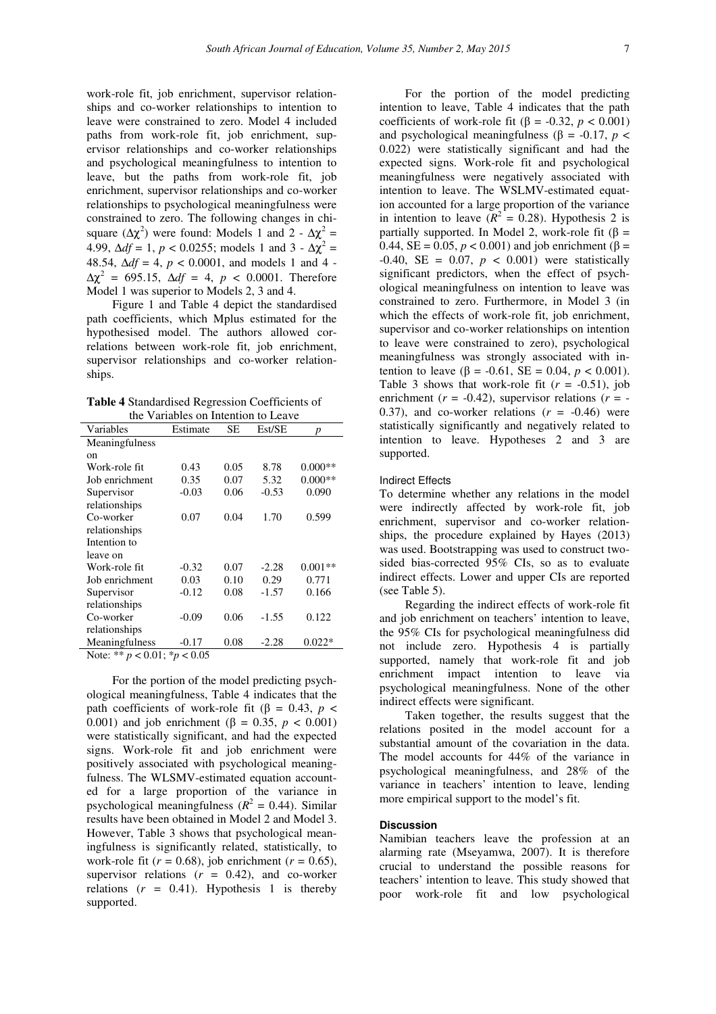work-role fit, job enrichment, supervisor relationships and co-worker relationships to intention to leave were constrained to zero. Model 4 included paths from work-role fit, job enrichment, supervisor relationships and co-worker relationships and psychological meaningfulness to intention to leave, but the paths from work-role fit, job enrichment, supervisor relationships and co-worker relationships to psychological meaningfulness were constrained to zero. The following changes in chisquare  $(\Delta \chi^2)$  were found: Models 1 and 2 -  $\Delta \chi^2$  = 4.99,  $\Delta df = 1$ ,  $p < 0.0255$ ; models 1 and 3 -  $\Delta \chi^2$  = 48.54, ∆*df* = 4, *p* < 0.0001, and models 1 and 4 -  $Δχ<sup>2</sup> = 695.15, Δdf = 4, p < 0.0001$ . Therefore Model 1 was superior to Models 2, 3 and 4.

Figure 1 and Table 4 depict the standardised path coefficients, which Mplus estimated for the hypothesised model. The authors allowed correlations between work-role fit, job enrichment, supervisor relationships and co-worker relationships.

**Table 4** Standardised Regression Coefficients of the Variables on Intention to Leave

| Variables                                   | Estimate | SЕ   | Est/SE  | p         |
|---------------------------------------------|----------|------|---------|-----------|
| Meaningfulness                              |          |      |         |           |
| on                                          |          |      |         |           |
| Work-role fit                               | 0.43     | 0.05 | 8.78    | $0.000**$ |
| Job enrichment                              | 0.35     | 0.07 | 5.32    | $0.000**$ |
| Supervisor                                  | $-0.03$  | 0.06 | $-0.53$ | 0.090     |
| relationships                               |          |      |         |           |
| Co-worker                                   | 0.07     | 0.04 | 1.70    | 0.599     |
| relationships                               |          |      |         |           |
| Intention to                                |          |      |         |           |
| leave on                                    |          |      |         |           |
| Work-role fit                               | $-0.32$  | 0.07 | $-2.28$ | $0.001**$ |
| Job enrichment                              | 0.03     | 0.10 | 0.29    | 0.771     |
| Supervisor                                  | $-0.12$  | 0.08 | $-1.57$ | 0.166     |
| relationships                               |          |      |         |           |
| Co-worker                                   | $-0.09$  | 0.06 | $-1.55$ | 0.122     |
| relationships                               |          |      |         |           |
| Meaningfulness                              | $-0.17$  | 0.08 | $-2.28$ | $0.022*$  |
| $N_{0}t_{P}$ , ** $n > 0.01$ , * $n > 0.05$ |          |      |         |           |

Note: \*\* *p* < 0.01; \**p* < 0.05

For the portion of the model predicting psychological meaningfulness, Table 4 indicates that the path coefficients of work-role fit (β = 0.43,  $p$  < 0.001) and job enrichment (β = 0.35, *p* < 0.001) were statistically significant, and had the expected signs. Work-role fit and job enrichment were positively associated with psychological meaningfulness. The WLSMV-estimated equation accounted for a large proportion of the variance in psychological meaningfulness  $(R^2 = 0.44)$ . Similar results have been obtained in Model 2 and Model 3. However, Table 3 shows that psychological meaningfulness is significantly related, statistically, to work-role fit  $(r = 0.68)$ , job enrichment  $(r = 0.65)$ , supervisor relations  $(r = 0.42)$ , and co-worker relations  $(r = 0.41)$ . Hypothesis 1 is thereby supported.

For the portion of the model predicting intention to leave, Table 4 indicates that the path coefficients of work-role fit ( $\beta$  = -0.32, *p* < 0.001) and psychological meaningfulness (β =  $-0.17$ , *p* < 0.022) were statistically significant and had the expected signs. Work-role fit and psychological meaningfulness were negatively associated with intention to leave. The WSLMV-estimated equation accounted for a large proportion of the variance in intention to leave  $(R^2 = 0.28)$ . Hypothesis 2 is partially supported. In Model 2, work-role fit ( $\beta$  = 0.44,  $SE = 0.05$ ,  $p < 0.001$ ) and job enrichment (β =  $-0.40$ , SE = 0.07,  $p < 0.001$ ) were statistically significant predictors, when the effect of psychological meaningfulness on intention to leave was constrained to zero. Furthermore, in Model 3 (in which the effects of work-role fit, job enrichment, supervisor and co-worker relationships on intention to leave were constrained to zero), psychological meaningfulness was strongly associated with intention to leave ( $\beta$  = -0.61, SE = 0.04,  $p < 0.001$ ). Table 3 shows that work-role fit  $(r = -0.51)$ , job enrichment  $(r = -0.42)$ , supervisor relations  $(r = -1.42)$ 0.37), and co-worker relations  $(r = -0.46)$  were statistically significantly and negatively related to intention to leave. Hypotheses 2 and 3 are supported.

## Indirect Effects

To determine whether any relations in the model were indirectly affected by work-role fit, job enrichment, supervisor and co-worker relationships, the procedure explained by Hayes (2013) was used. Bootstrapping was used to construct twosided bias-corrected 95% CIs, so as to evaluate indirect effects. Lower and upper CIs are reported (see Table 5).

Regarding the indirect effects of work-role fit and job enrichment on teachers' intention to leave. the 95% CIs for psychological meaningfulness did not include zero. Hypothesis 4 is partially supported, namely that work-role fit and job enrichment impact intention to leave via psychological meaningfulness. None of the other indirect effects were significant.

Taken together, the results suggest that the relations posited in the model account for a substantial amount of the covariation in the data. The model accounts for 44% of the variance in psychological meaningfulness, and 28% of the variance in teachers' intention to leave, lending more empirical support to the model's fit.

# **Discussion**

Namibian teachers leave the profession at an alarming rate (Mseyamwa, 2007). It is therefore crucial to understand the possible reasons for teachers' intention to leave. This study showed that poor work-role fit and low psychological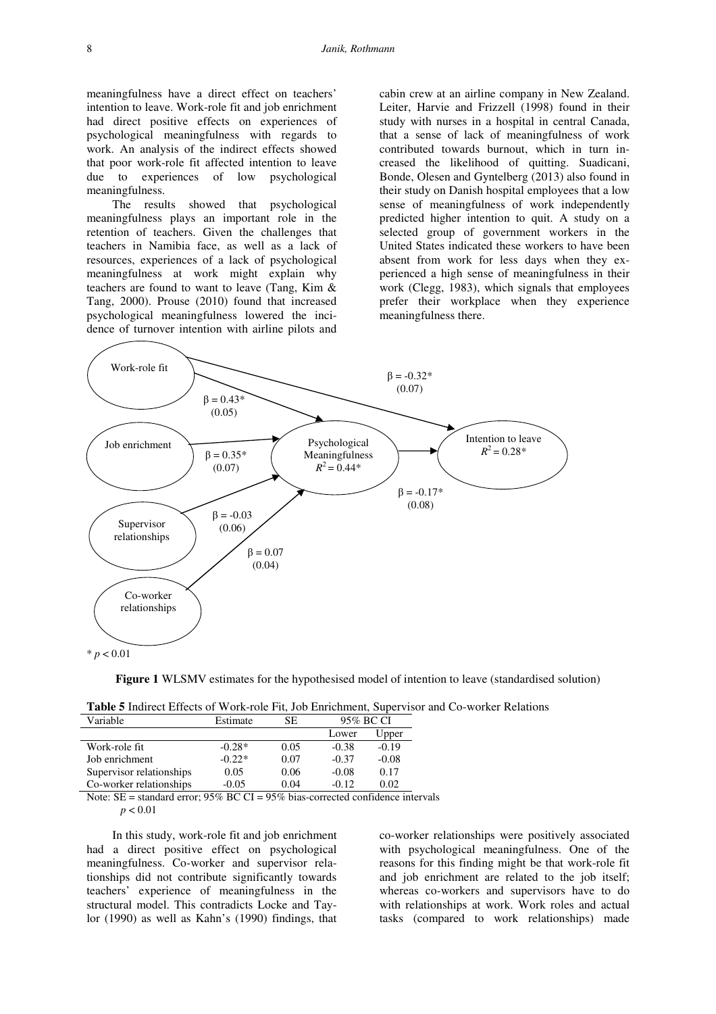meaningfulness have a direct effect on teachers' intention to leave. Work-role fit and job enrichment had direct positive effects on experiences of psychological meaningfulness with regards to work. An analysis of the indirect effects showed that poor work-role fit affected intention to leave due to experiences of low psychological meaningfulness.

The results showed that psychological meaningfulness plays an important role in the retention of teachers. Given the challenges that teachers in Namibia face, as well as a lack of resources, experiences of a lack of psychological meaningfulness at work might explain why teachers are found to want to leave (Tang, Kim & Tang, 2000). Prouse (2010) found that increased psychological meaningfulness lowered the incidence of turnover intention with airline pilots and

cabin crew at an airline company in New Zealand. Leiter, Harvie and Frizzell (1998) found in their study with nurses in a hospital in central Canada, that a sense of lack of meaningfulness of work contributed towards burnout, which in turn increased the likelihood of quitting. Suadicani, Bonde, Olesen and Gyntelberg (2013) also found in their study on Danish hospital employees that a low sense of meaningfulness of work independently predicted higher intention to quit. A study on a selected group of government workers in the United States indicated these workers to have been absent from work for less days when they experienced a high sense of meaningfulness in their work (Clegg, 1983), which signals that employees prefer their workplace when they experience meaningfulness there.



**Figure 1** WLSMV estimates for the hypothesised model of intention to leave (standardised solution)

| Variable                 | Estimate | SE.  | 95% BC CI |         |
|--------------------------|----------|------|-----------|---------|
|                          |          |      | Lower     | Upper   |
| Work-role fit            | $-0.28*$ | 0.05 | $-0.38$   | $-0.19$ |
| Job enrichment           | $-0.22*$ | 0.07 | $-0.37$   | $-0.08$ |
| Supervisor relationships | 0.05     | 0.06 | $-0.08$   | 0.17    |
| Co-worker relationships  | $-0.05$  | 0.04 | $-0.12$   | 0.02    |

Note: SE = standard error; 95% BC CI = 95% bias-corrected confidence intervals

 $p < 0.01$ 

In this study, work-role fit and job enrichment had a direct positive effect on psychological meaningfulness. Co-worker and supervisor relationships did not contribute significantly towards teachers' experience of meaningfulness in the structural model. This contradicts Locke and Taylor (1990) as well as Kahn's (1990) findings, that co-worker relationships were positively associated with psychological meaningfulness. One of the reasons for this finding might be that work-role fit and job enrichment are related to the job itself; whereas co-workers and supervisors have to do with relationships at work. Work roles and actual tasks (compared to work relationships) made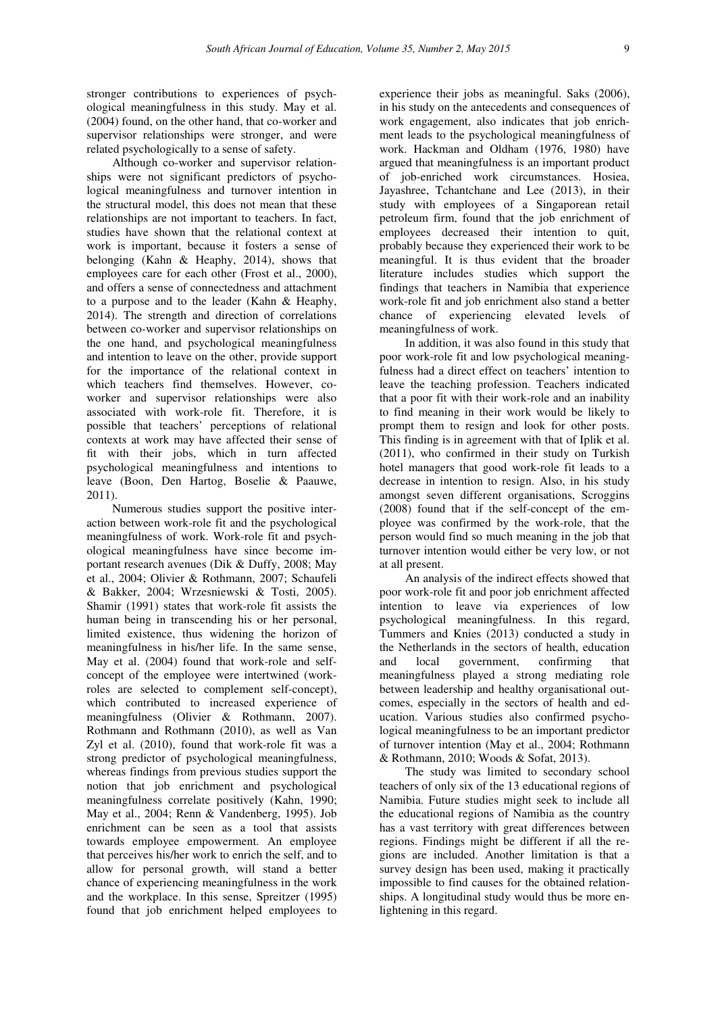stronger contributions to experiences of psychological meaningfulness in this study. May et al. (2004) found, on the other hand, that co-worker and supervisor relationships were stronger, and were related psychologically to a sense of safety.

Although co-worker and supervisor relationships were not significant predictors of psychological meaningfulness and turnover intention in the structural model, this does not mean that these relationships are not important to teachers. In fact, studies have shown that the relational context at work is important, because it fosters a sense of belonging (Kahn & Heaphy, 2014), shows that employees care for each other (Frost et al., 2000), and offers a sense of connectedness and attachment to a purpose and to the leader (Kahn & Heaphy, 2014). The strength and direction of correlations between co-worker and supervisor relationships on the one hand, and psychological meaningfulness and intention to leave on the other, provide support for the importance of the relational context in which teachers find themselves. However, coworker and supervisor relationships were also associated with work-role fit. Therefore, it is possible that teachers' perceptions of relational contexts at work may have affected their sense of fit with their jobs, which in turn affected psychological meaningfulness and intentions to leave (Boon, Den Hartog, Boselie & Paauwe, 2011).

Numerous studies support the positive interaction between work-role fit and the psychological meaningfulness of work. Work-role fit and psychological meaningfulness have since become important research avenues (Dik & Duffy, 2008; May et al., 2004; Olivier & Rothmann, 2007; Schaufeli & Bakker, 2004; Wrzesniewski & Tosti, 2005). Shamir (1991) states that work-role fit assists the human being in transcending his or her personal, limited existence, thus widening the horizon of meaningfulness in his/her life. In the same sense, May et al. (2004) found that work-role and selfconcept of the employee were intertwined (workroles are selected to complement self-concept), which contributed to increased experience of meaningfulness (Olivier & Rothmann, 2007). Rothmann and Rothmann (2010), as well as Van Zyl et al. (2010), found that work-role fit was a strong predictor of psychological meaningfulness, whereas findings from previous studies support the notion that job enrichment and psychological meaningfulness correlate positively (Kahn, 1990; May et al., 2004; Renn & Vandenberg, 1995). Job enrichment can be seen as a tool that assists towards employee empowerment. An employee that perceives his/her work to enrich the self, and to allow for personal growth, will stand a better chance of experiencing meaningfulness in the work and the workplace. In this sense, Spreitzer (1995) found that job enrichment helped employees to

experience their jobs as meaningful. Saks (2006), in his study on the antecedents and consequences of work engagement, also indicates that job enrichment leads to the psychological meaningfulness of work. Hackman and Oldham (1976, 1980) have argued that meaningfulness is an important product of job-enriched work circumstances. Hosiea, Jayashree, Tchantchane and Lee (2013), in their study with employees of a Singaporean retail petroleum firm, found that the job enrichment of employees decreased their intention to quit, probably because they experienced their work to be meaningful. It is thus evident that the broader literature includes studies which support the findings that teachers in Namibia that experience work-role fit and job enrichment also stand a better chance of experiencing elevated levels of meaningfulness of work.

In addition, it was also found in this study that poor work-role fit and low psychological meaningfulness had a direct effect on teachers' intention to leave the teaching profession. Teachers indicated that a poor fit with their work-role and an inability to find meaning in their work would be likely to prompt them to resign and look for other posts. This finding is in agreement with that of Iplik et al. (2011), who confirmed in their study on Turkish hotel managers that good work-role fit leads to a decrease in intention to resign. Also, in his study amongst seven different organisations, Scroggins (2008) found that if the self-concept of the employee was confirmed by the work-role, that the person would find so much meaning in the job that turnover intention would either be very low, or not at all present.

An analysis of the indirect effects showed that poor work-role fit and poor job enrichment affected intention to leave via experiences of low psychological meaningfulness. In this regard, Tummers and Knies (2013) conducted a study in the Netherlands in the sectors of health, education and local government, confirming that meaningfulness played a strong mediating role between leadership and healthy organisational outcomes, especially in the sectors of health and education. Various studies also confirmed psychological meaningfulness to be an important predictor of turnover intention (May et al., 2004; Rothmann & Rothmann, 2010; Woods & Sofat, 2013).

The study was limited to secondary school teachers of only six of the 13 educational regions of Namibia. Future studies might seek to include all the educational regions of Namibia as the country has a vast territory with great differences between regions. Findings might be different if all the regions are included. Another limitation is that a survey design has been used, making it practically impossible to find causes for the obtained relationships. A longitudinal study would thus be more enlightening in this regard.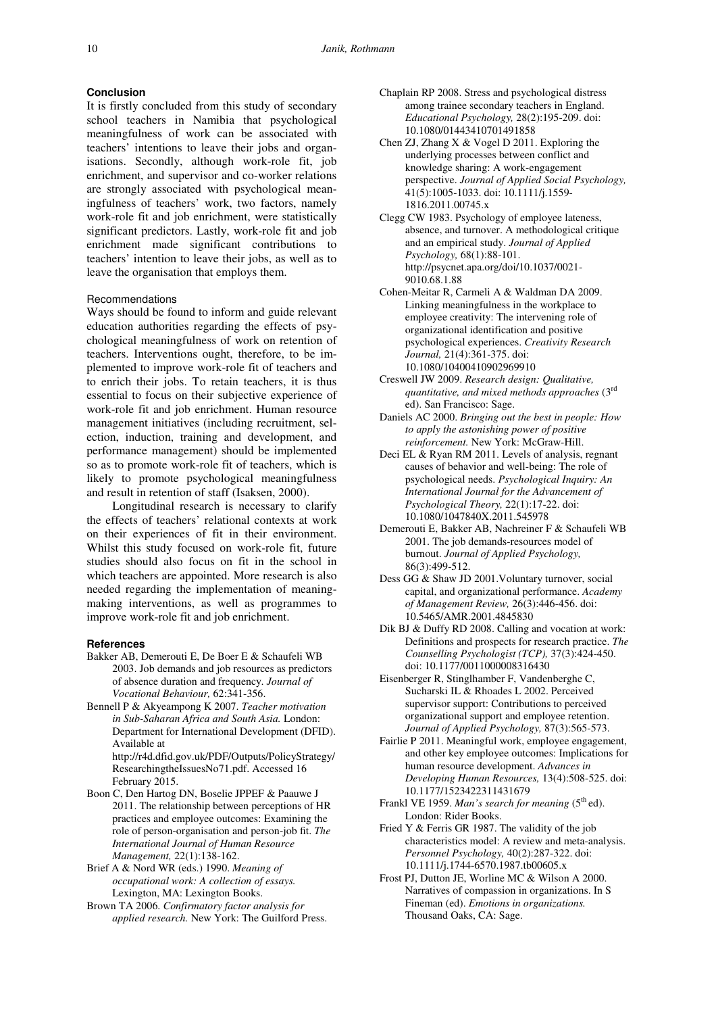## **Conclusion**

It is firstly concluded from this study of secondary school teachers in Namibia that psychological meaningfulness of work can be associated with teachers' intentions to leave their jobs and organisations. Secondly, although work-role fit, job enrichment, and supervisor and co-worker relations are strongly associated with psychological meaningfulness of teachers' work, two factors, namely work-role fit and job enrichment, were statistically significant predictors. Lastly, work-role fit and job enrichment made significant contributions to teachers' intention to leave their jobs, as well as to leave the organisation that employs them.

## **Recommendations**

Ways should be found to inform and guide relevant education authorities regarding the effects of psychological meaningfulness of work on retention of teachers. Interventions ought, therefore, to be implemented to improve work-role fit of teachers and to enrich their jobs. To retain teachers, it is thus essential to focus on their subjective experience of work-role fit and job enrichment. Human resource management initiatives (including recruitment, selection, induction, training and development, and performance management) should be implemented so as to promote work-role fit of teachers, which is likely to promote psychological meaningfulness and result in retention of staff (Isaksen, 2000).

Longitudinal research is necessary to clarify the effects of teachers' relational contexts at work on their experiences of fit in their environment. Whilst this study focused on work-role fit, future studies should also focus on fit in the school in which teachers are appointed. More research is also needed regarding the implementation of meaningmaking interventions, as well as programmes to improve work-role fit and job enrichment.

### **References**

- Bakker AB, Demerouti E, De Boer E & Schaufeli WB 2003. Job demands and job resources as predictors of absence duration and frequency. *Journal of Vocational Behaviour,* 62:341-356.
- Bennell P & Akyeampong K 2007. *Teacher motivation in Sub-Saharan Africa and South Asia.* London: Department for International Development (DFID). Available at http://r4d.dfid.gov.uk/PDF/Outputs/PolicyStrategy/

ResearchingtheIssuesNo71.pdf. Accessed 16 February 2015.

- Boon C, Den Hartog DN, Boselie JPPEF & Paauwe J 2011. The relationship between perceptions of HR practices and employee outcomes: Examining the role of person-organisation and person-job fit. *The International Journal of Human Resource Management,* 22(1):138-162.
- Brief A & Nord WR (eds.) 1990. *Meaning of occupational work: A collection of essays.*  Lexington, MA: Lexington Books.
- Brown TA 2006. *Confirmatory factor analysis for applied research.* New York: The Guilford Press.
- Chaplain RP 2008. Stress and psychological distress among trainee secondary teachers in England. *Educational Psychology,* 28(2):195-209. doi: 10.1080/01443410701491858
- Chen ZJ, Zhang X & Vogel D 2011. Exploring the underlying processes between conflict and knowledge sharing: A work-engagement perspective. *Journal of Applied Social Psychology,*   $41(5):1005-1033$ . doi:  $10.1111/i$ .1559-1816.2011.00745.x
- Clegg CW 1983. Psychology of employee lateness, absence, and turnover. A methodological critique and an empirical study. *Journal of Applied Psychology,* 68(1):88-101. http://psycnet.apa.org/doi/10.1037/0021- 9010.68.1.88
- Cohen-Meitar R, Carmeli A & Waldman DA 2009. Linking meaningfulness in the workplace to employee creativity: The intervening role of organizational identification and positive psychological experiences. *Creativity Research Journal,* 21(4):361-375. doi: 10.1080/10400410902969910
- Creswell JW 2009. *Research design: Qualitative, quantitative, and mixed methods approaches* (3rd ed). San Francisco: Sage.
- Daniels AC 2000. *Bringing out the best in people: How to apply the astonishing power of positive reinforcement.* New York: McGraw-Hill.
- Deci EL & Ryan RM 2011. Levels of analysis, regnant causes of behavior and well-being: The role of psychological needs. *Psychological Inquiry: An International Journal for the Advancement of Psychological Theory,* 22(1):17-22. doi: 10.1080/1047840X.2011.545978
- Demerouti E, Bakker AB, Nachreiner F & Schaufeli WB 2001. The job demands-resources model of burnout. *Journal of Applied Psychology,*  86(3):499-512.
- Dess GG & Shaw JD 2001.Voluntary turnover, social capital, and organizational performance. *Academy of Management Review,* 26(3):446-456. doi: 10.5465/AMR.2001.4845830
- Dik BJ & Duffy RD 2008. Calling and vocation at work: Definitions and prospects for research practice. *The Counselling Psychologist (TCP),* 37(3):424-450. doi: 10.1177/0011000008316430
- Eisenberger R, Stinglhamber F, Vandenberghe C, Sucharski IL & Rhoades L 2002. Perceived supervisor support: Contributions to perceived organizational support and employee retention. *Journal of Applied Psychology,* 87(3):565-573.
- Fairlie P 2011. Meaningful work, employee engagement, and other key employee outcomes: Implications for human resource development. *Advances in Developing Human Resources,* 13(4):508-525. doi: 10.1177/1523422311431679
- Frankl VE 1959. Man's search for meaning (5<sup>th</sup> ed). London: Rider Books.
- Fried Y & Ferris GR 1987. The validity of the job characteristics model: A review and meta-analysis. *Personnel Psychology,* 40(2):287-322. doi: 10.1111/j.1744-6570.1987.tb00605.x
- Frost PJ, Dutton JE, Worline MC & Wilson A 2000. Narratives of compassion in organizations. In S Fineman (ed). *Emotions in organizations.*  Thousand Oaks, CA: Sage.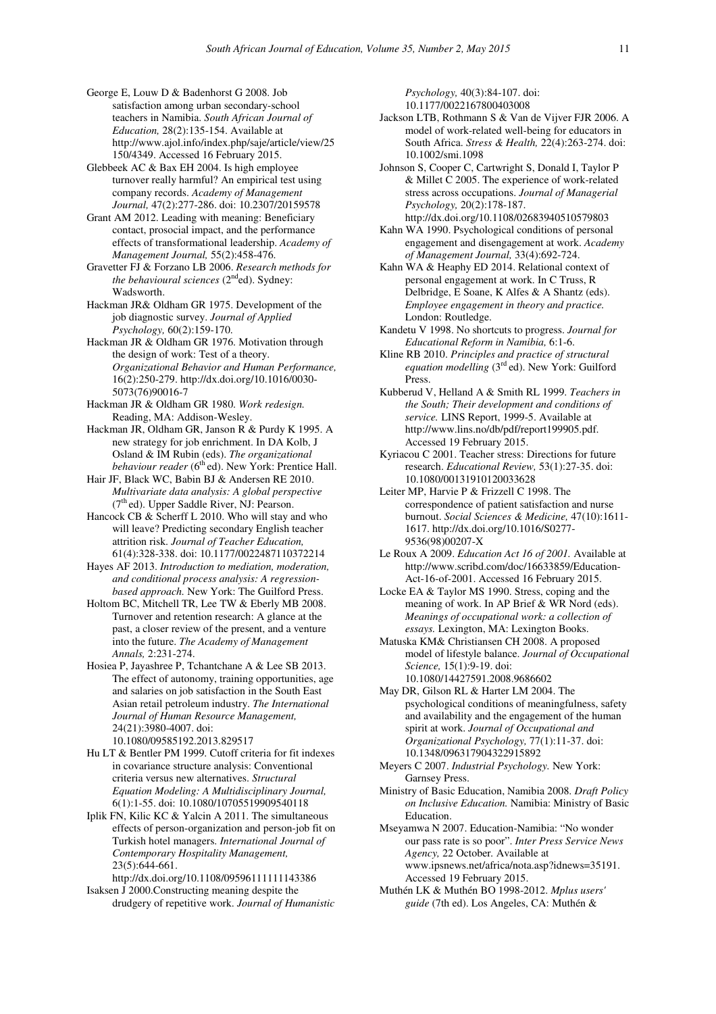George E, Louw D & Badenhorst G 2008. Job satisfaction among urban secondary-school teachers in Namibia. *South African Journal of Education,* 28(2):135-154. Available at http://www.ajol.info/index.php/saje/article/view/25 150/4349. Accessed 16 February 2015.

Glebbeek AC & Bax EH 2004. Is high employee turnover really harmful? An empirical test using company records. *Academy of Management Journal,* 47(2):277-286. doi: 10.2307/20159578

Grant AM 2012. Leading with meaning: Beneficiary contact, prosocial impact, and the performance effects of transformational leadership. *Academy of Management Journal,* 55(2):458-476.

Gravetter FJ & Forzano LB 2006. *Research methods for the behavioural sciences*  $(2<sup>nd</sup>ed)$ . Sydney: Wadsworth.

Hackman JR& Oldham GR 1975. Development of the job diagnostic survey. *Journal of Applied Psychology,* 60(2):159-170.

Hackman JR & Oldham GR 1976. Motivation through the design of work: Test of a theory. *Organizational Behavior and Human Performance,*  16(2):250-279. http://dx.doi.org/10.1016/0030- 5073(76)90016-7

Hackman JR & Oldham GR 1980. *Work redesign.*  Reading, MA: Addison-Wesley.

Hackman JR, Oldham GR, Janson R & Purdy K 1995. A new strategy for job enrichment. In DA Kolb, J Osland & IM Rubin (eds). *The organizational behaviour reader* (6<sup>th</sup> ed). New York: Prentice Hall.

Hair JF, Black WC, Babin BJ & Andersen RE 2010. *Multivariate data analysis: A global perspective*   $(7<sup>th</sup>$ ed). Upper Saddle River, NJ: Pearson.

Hancock CB & Scherff L 2010. Who will stay and who will leave? Predicting secondary English teacher attrition risk. *Journal of Teacher Education,*  61(4):328-338. doi: 10.1177/0022487110372214

Hayes AF 2013. *Introduction to mediation, moderation, and conditional process analysis: A regressionbased approach.* New York: The Guilford Press.

Holtom BC, Mitchell TR, Lee TW & Eberly MB 2008. Turnover and retention research: A glance at the past, a closer review of the present, and a venture into the future. *The Academy of Management Annals,* 2:231-274.

Hosiea P, Jayashree P, Tchantchane A & Lee SB 2013. The effect of autonomy, training opportunities, age and salaries on job satisfaction in the South East Asian retail petroleum industry. *The International Journal of Human Resource Management,*  24(21):3980-4007. doi: 10.1080/09585192.2013.829517

Hu LT & Bentler PM 1999. Cutoff criteria for fit indexes in covariance structure analysis: Conventional criteria versus new alternatives. *Structural Equation Modeling: A Multidisciplinary Journal,*  6(1):1-55. doi: 10.1080/10705519909540118

Iplik FN, Kilic KC & Yalcin A 2011. The simultaneous effects of person-organization and person-job fit on Turkish hotel managers. *International Journal of Contemporary Hospitality Management,*  23(5):644-661.

http://dx.doi.org/10.1108/09596111111143386 Isaksen J 2000.Constructing meaning despite the

drudgery of repetitive work. *Journal of Humanistic* 

*Psychology,* 40(3):84-107. doi: 10.1177/0022167800403008

Jackson LTB, Rothmann S & Van de Vijver FJR 2006. A model of work-related well-being for educators in South Africa. *Stress & Health,* 22(4):263-274. doi: 10.1002/smi.1098

Johnson S, Cooper C, Cartwright S, Donald I, Taylor P & Millet C 2005. The experience of work-related stress across occupations. *Journal of Managerial Psychology,* 20(2):178-187. http://dx.doi.org/10.1108/02683940510579803

Kahn WA 1990. Psychological conditions of personal engagement and disengagement at work. *Academy of Management Journal,* 33(4):692-724.

Kahn WA & Heaphy ED 2014. Relational context of personal engagement at work. In C Truss, R Delbridge, E Soane, K Alfes & A Shantz (eds). *Employee engagement in theory and practice.* London: Routledge.

Kandetu V 1998. No shortcuts to progress. *Journal for Educational Reform in Namibia,* 6:1-6.

Kline RB 2010. *Principles and practice of structural*  equation modelling (3<sup>rd</sup> ed). New York: Guilford Press.

Kubberud V, Helland A & Smith RL 1999. *Teachers in the South; Their development and conditions of service.* LINS Report, 1999-5. Available at http://www.lins.no/db/pdf/report199905.pdf. Accessed 19 February 2015.

Kyriacou C 2001. Teacher stress: Directions for future research. *Educational Review,* 53(1):27-35. doi: 10.1080/00131910120033628

Leiter MP, Harvie P & Frizzell C 1998. The correspondence of patient satisfaction and nurse burnout. *Social Sciences & Medicine,* 47(10):1611- 1617. http://dx.doi.org/10.1016/S0277- 9536(98)00207-X

Le Roux A 2009. *Education Act 16 of 2001.* Available at http://www.scribd.com/doc/16633859/Education-Act-16-of-2001. Accessed 16 February 2015.

Locke EA & Taylor MS 1990. Stress, coping and the meaning of work. In AP Brief & WR Nord (eds). *Meanings of occupational work: a collection of essays.* Lexington, MA: Lexington Books.

Matuska KM& Christiansen CH 2008. A proposed model of lifestyle balance. *Journal of Occupational Science,* 15(1):9-19. doi: 10.1080/14427591.2008.9686602

May DR, Gilson RL & Harter LM 2004. The psychological conditions of meaningfulness, safety and availability and the engagement of the human spirit at work. *Journal of Occupational and Organizational Psychology,* 77(1):11-37. doi: 10.1348/096317904322915892

Meyers C 2007. *Industrial Psychology.* New York: Garnsey Press.

Ministry of Basic Education, Namibia 2008. *Draft Policy on Inclusive Education.* Namibia: Ministry of Basic Education.

Mseyamwa N 2007. Education-Namibia: "No wonder our pass rate is so poor". *Inter Press Service News Agency,* 22 October*.* Available at www.ipsnews.net/africa/nota.asp?idnews=35191. Accessed 19 February 2015.

Muthén LK & Muthén BO 1998-2012. *Mplus users' guide* (7th ed). Los Angeles, CA: Muthén &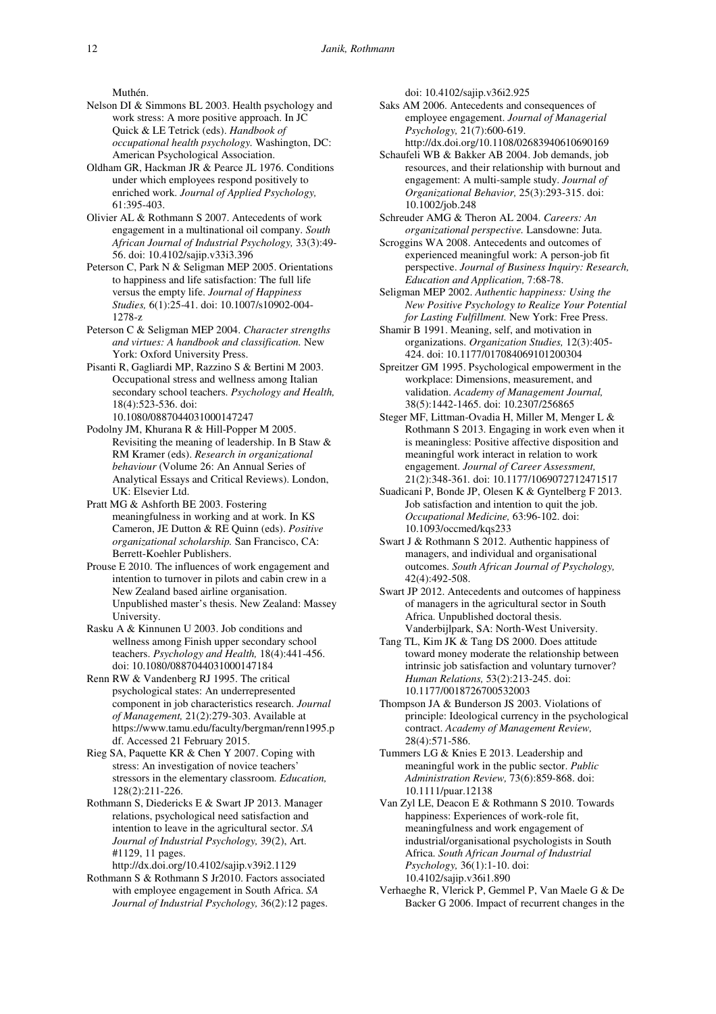Muthén.

- Nelson DI & Simmons BL 2003. Health psychology and work stress: A more positive approach. In JC Quick & LE Tetrick (eds). *Handbook of occupational health psychology.* Washington, DC: American Psychological Association.
- Oldham GR, Hackman JR & Pearce JL 1976. Conditions under which employees respond positively to enriched work. *Journal of Applied Psychology,*  61:395-403.
- Olivier AL & Rothmann S 2007. Antecedents of work engagement in a multinational oil company. *South African Journal of Industrial Psychology,* 33(3):49- 56. doi: 10.4102/sajip.v33i3.396
- Peterson C, Park N & Seligman MEP 2005. Orientations to happiness and life satisfaction: The full life versus the empty life. *Journal of Happiness Studies,* 6(1):25-41. doi: 10.1007/s10902-004- 1278-z
- Peterson C & Seligman MEP 2004. *Character strengths and virtues: A handbook and classification.* New York: Oxford University Press.
- Pisanti R, Gagliardi MP, Razzino S & Bertini M 2003. Occupational stress and wellness among Italian secondary school teachers. *Psychology and Health,*  18(4):523-536. doi: 10.1080/0887044031000147247
- Podolny JM, Khurana R & Hill-Popper M 2005. Revisiting the meaning of leadership. In B Staw & RM Kramer (eds). *Research in organizational behaviour* (Volume 26: An Annual Series of Analytical Essays and Critical Reviews). London, UK: Elsevier Ltd.
- Pratt MG & Ashforth BE 2003. Fostering meaningfulness in working and at work. In KS Cameron, JE Dutton & RE Quinn (eds). *Positive organizational scholarship.* San Francisco, CA: Berrett-Koehler Publishers.
- Prouse E 2010. The influences of work engagement and intention to turnover in pilots and cabin crew in a New Zealand based airline organisation. Unpublished master's thesis. New Zealand: Massey University.
- Rasku A & Kinnunen U 2003. Job conditions and wellness among Finish upper secondary school teachers. *Psychology and Health,* 18(4):441-456. doi: 10.1080/0887044031000147184
- Renn RW & Vandenberg RJ 1995. The critical psychological states: An underrepresented component in job characteristics research. *Journal of Management,* 21(2):279-303. Available at https://www.tamu.edu/faculty/bergman/renn1995.p df. Accessed 21 February 2015.
- Rieg SA, Paquette KR & Chen Y 2007. Coping with stress: An investigation of novice teachers' stressors in the elementary classroom. *Education,*  128(2):211-226.
- Rothmann S, Diedericks E & Swart JP 2013. Manager relations, psychological need satisfaction and intention to leave in the agricultural sector. *SA Journal of Industrial Psychology,* 39(2), Art. #1129, 11 pages.
- http://dx.doi.org/10.4102/sajip.v39i2.1129 Rothmann S & Rothmann S Jr2010. Factors associated with employee engagement in South Africa. *SA Journal of Industrial Psychology,* 36(2):12 pages.

doi: 10.4102/sajip.v36i2.925

Saks AM 2006. Antecedents and consequences of employee engagement. *Journal of Managerial Psychology,* 21(7):600-619. http://dx.doi.org/10.1108/02683940610690169

- Schaufeli WB & Bakker AB 2004. Job demands, job resources, and their relationship with burnout and engagement: A multi-sample study. *Journal of Organizational Behavior,* 25(3):293-315. doi: 10.1002/job.248
- Schreuder AMG & Theron AL 2004. *Careers: An organizational perspective.* Lansdowne: Juta.
- Scroggins WA 2008. Antecedents and outcomes of experienced meaningful work: A person-job fit perspective. *Journal of Business Inquiry: Research, Education and Application,* 7:68-78.
- Seligman MEP 2002. *Authentic happiness: Using the New Positive Psychology to Realize Your Potential for Lasting Fulfillment.* New York: Free Press.
- Shamir B 1991. Meaning, self, and motivation in organizations. *Organization Studies,* 12(3):405- 424. doi: 10.1177/017084069101200304
- Spreitzer GM 1995. Psychological empowerment in the workplace: Dimensions, measurement, and validation. *Academy of Management Journal,*  38(5):1442-1465. doi: 10.2307/256865
- Steger MF, Littman-Ovadia H, Miller M, Menger L & Rothmann S 2013. Engaging in work even when it is meaningless: Positive affective disposition and meaningful work interact in relation to work engagement. *Journal of Career Assessment,*  21(2):348-361*.* doi: 10.1177/1069072712471517
- Suadicani P, Bonde JP, Olesen K & Gyntelberg F 2013. Job satisfaction and intention to quit the job. *Occupational Medicine,* 63:96-102. doi: 10.1093/occmed/kqs233
- Swart J & Rothmann S 2012. Authentic happiness of managers, and individual and organisational outcomes. *South African Journal of Psychology,*  42(4):492-508.
- Swart JP 2012. Antecedents and outcomes of happiness of managers in the agricultural sector in South Africa. Unpublished doctoral thesis. Vanderbijlpark, SA: North-West University.
- Tang TL, Kim JK & Tang DS 2000. Does attitude toward money moderate the relationship between intrinsic job satisfaction and voluntary turnover? *Human Relations,* 53(2):213-245. doi: 10.1177/0018726700532003
- Thompson JA & Bunderson JS 2003. Violations of principle: Ideological currency in the psychological contract. *Academy of Management Review,*  28(4):571-586.
- Tummers LG & Knies E 2013. Leadership and meaningful work in the public sector. *Public Administration Review,* 73(6):859-868. doi: 10.1111/puar.12138
- Van Zyl LE, Deacon E & Rothmann S 2010. Towards happiness: Experiences of work-role fit, meaningfulness and work engagement of industrial/organisational psychologists in South Africa. *South African Journal of Industrial Psychology,* 36(1):1-10. doi: 10.4102/sajip.v36i1.890
- Verhaeghe R, Vlerick P, Gemmel P, Van Maele G & De Backer G 2006. Impact of recurrent changes in the